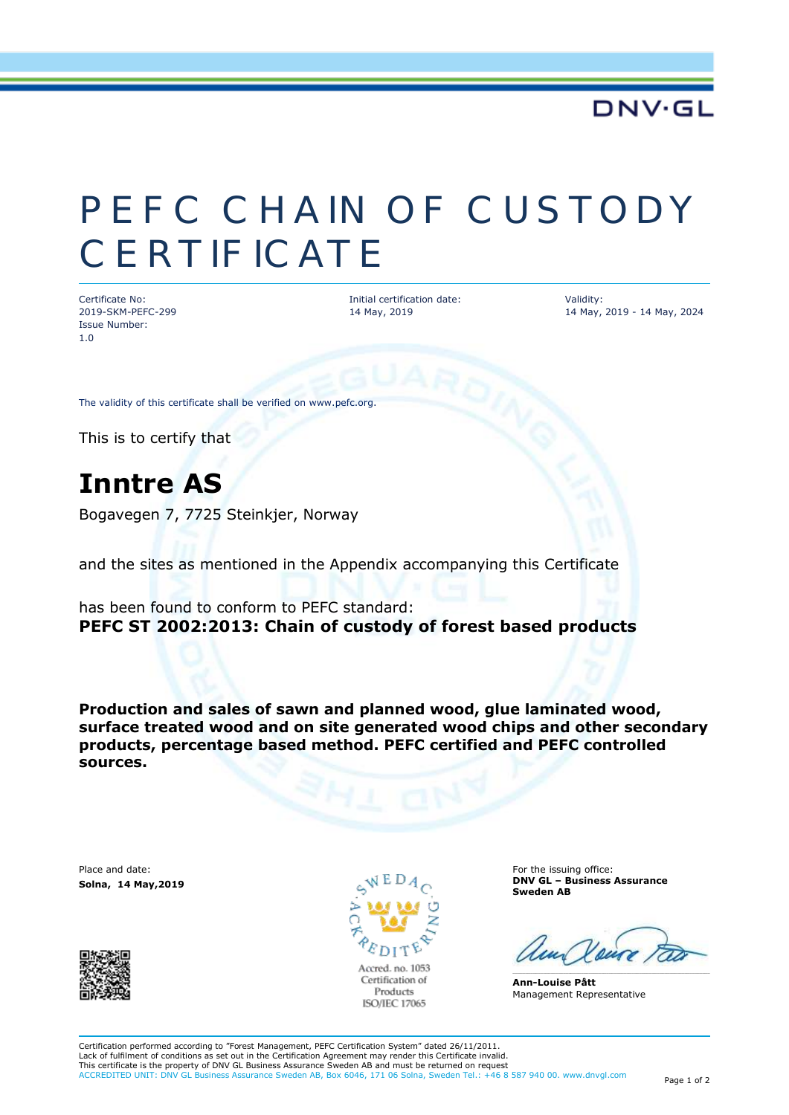### **DNV·GL**

# PEFC CHAIN OF CUSTODY **CERTIFICATE**

Certificate No: 2019-SKM-PEFC-299 Issue Number: 1.0

Initial certification date: 14 May, 2019

Validity: 14 May, 2019 - 14 May, 2024

The validity of this certificate shall be verified on www.pefc.org.

This is to certify that

## **Inntre AS**

Bogavegen 7, 7725 Steinkjer, Norway

and the sites as mentioned in the Appendix accompanying this Certificate

has been found to conform to PEFC standard: **PEFC ST 2002:2013: Chain of custody of forest based products**

**Production and sales of sawn and planned wood, glue laminated wood, surface treated wood and on site generated wood chips and other secondary products, percentage based method. PEFC certified and PEFC controlled sources.**

Place and date: **Solna, 14 May,2019** 





For the issuing office: **DNV GL – Business Assurance Sweden AB**

**Ann-Louise Pått** Management Representative